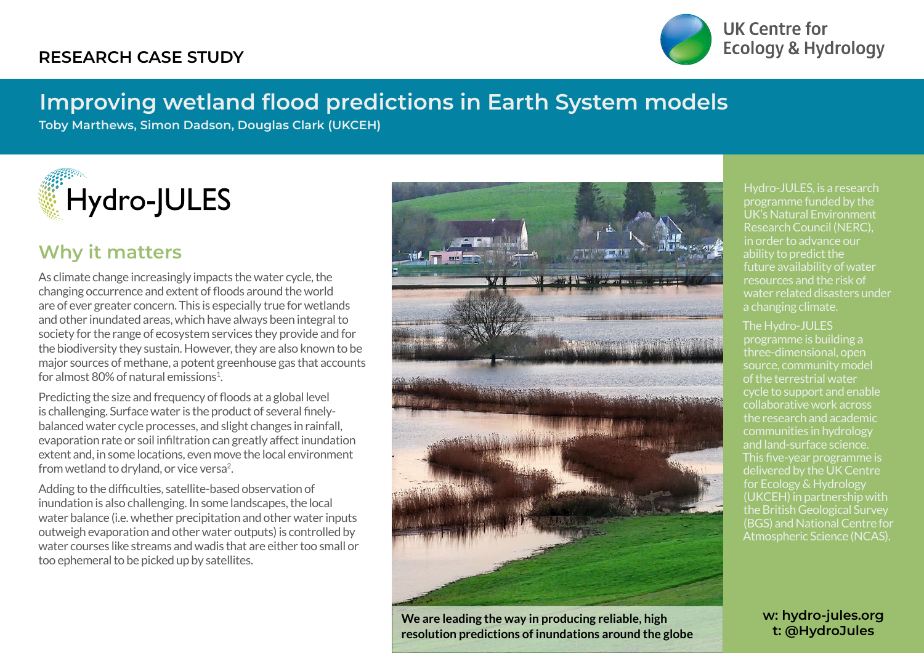### **RESEARCH CASE STUDY**



UK Centre for **Ecology & Hydrology** 

# **Improving wetland flood predictions in Earth System models**

**Toby Marthews, Simon Dadson, Douglas Clark (UKCEH)**



### **Why it matters**

As climate change increasingly impacts the water cycle, the changing occurrence and extent of floods around the world are of ever greater concern. This is especially true for wetlands and other inundated areas, which have always been integral to society for the range of ecosystem services they provide and for the biodiversity they sustain. However, they are also known to be major sources of methane, a potent greenhouse gas that accounts for almost 80% of natural emissions $^{1}$ .

Predicting the size and frequency of floods at a global level is challenging. Surface water is the product of several finelybalanced water cycle processes, and slight changes in rainfall, evaporation rate or soil infiltration can greatly affect inundation extent and, in some locations, even move the local environment from wetland to dryland, or vice versa<sup>2</sup>.

Adding to the difficulties, satellite-based observation of inundation is also challenging. In some landscapes, the local water balance (i.e. whether precipitation and other water inputs outweigh evaporation and other water outputs) is controlled by water courses like streams and wadis that are either too small or too ephemeral to be picked up by satellites.



**We are leading the way in producing reliable, high resolution predictions of inundations around the globe**

Hydro-JULES, is a research programme funded by the UK's Natural Environment Research Council (NERC), in order to advance our ability to predict the future availability of water resources and the risk of water related disasters under a changing climate.

#### The Hydro-JULES

programme is building a three-dimensional, open source, community model of the terrestrial water cycle to support and enable collaborative work across the research and academic communities in hydrology This five-year programme is delivered by the UK Centre for Ecology & Hydrology (UKCEH) in partnership with the British Geological Survey (BGS) and National Centre for Atmospheric Science (NCAS).

> **w: hydro-jules.org t: @HydroJules**